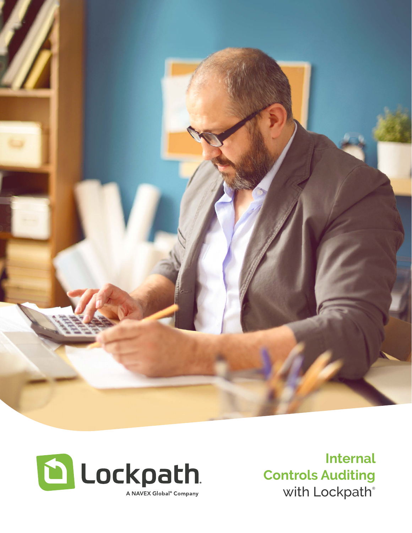



**Internal Controls Auditing** with Lockpath®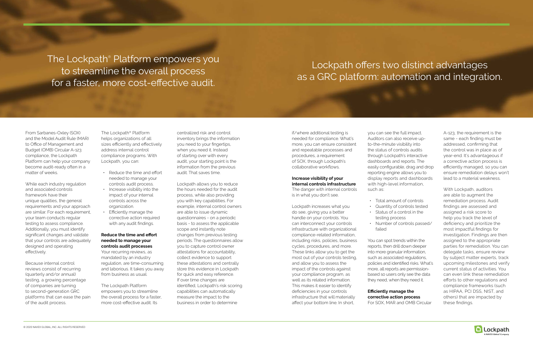From Sarbanes-Oxley (SOX) and the Model Audit Rule (MAR) to Office of Management and Budget (OMB) Circular A-123 compliance, the Lockpath Platform can help your company become audit-ready often in a matter of weeks.

While each industry regulation and associated controls framework have their unique qualities, the general requirements and your approach are similar. For each requirement, your team conducts regular testing to assess compliance. Additionally, you must identify significant changes and validate that your controls are adequately designed and operating effectively.

- Reduce the time and effort needed to manage your controls audit process.
- Increase visibility into the impact of your internal controls across the organization.
- Efficiently manage the corrective action required with any audit findings.

Because internal control reviews consist of recurring (quarterly and/or annual) testing, a growing percentage of companies are turning to second-generation GRC platforms that can ease the pain of the audit process.

The Lockpath® Platform helps organizations of all sizes efficiently and effectively address internal control compliance programs. With Lockpath, you can:

### **Reduce the time and effort needed to manage your controls audit processes**

Your recurring reviews, as mandated by an industry regulation, are time-consuming and laborious. It takes you away from business as usual.

The Lockpath Platform empowers you to streamline the overall process for a faster, more cost-effective audit. Its

centralized risk and control inventory brings the information you need to your fingertips, when you need it. Instead of starting over with every audit, your starting point is the information from the previous audit. That saves time.

Lockpath allows you to reduce the hours needed for the audit process, while also providing you with key capabilities. For example, internal control owners are able to issue dynamic questionnaires - on a periodic basis - to assess the applicable scope and instantly note changes from previous testing periods. The questionnaires allow you to capture control owner attestations for accountability, collect evidence to support these attestations and centrally store this evidence in Lockpath for quick and easy reference. If over time changes are identified, Lockpath's risk scoring capabilities can automatically measure the impact to the business in order to determine

if/where additional testing is needed for compliance. What's more, you can ensure consistent and repeatable processes and procedures, a requirement of SOX, through Lockpath's collaborative workflows.

### **Increase visibility of your internal controls infrastructure**

The danger with internal controls is in what you don't see.

Lockpath increases what you do see, giving you a better handle on your controls. You can interconnect your controls infrastructure with organizational compliance-related information, including risks, policies, business cycles, procedures, and more. These links allow you to get the most out of your controls testing, and allow you to assess the impact of the controls against your compliance program, as well as its related information. This makes it easier to identify deficiencies in your controls infrastructure that will materially affect your bottom line. In short,

you can see the full impact. Auditors can also receive upto-the-minute visibility into the status of controls audits through Lockpath's interactive dashboards and reports. The easily configurable, drag and drop reporting engine allows you to display reports and dashboards with high-level information, such as:

• Total amount of controls • Quantity of controls tested • Status of a control in the • Number of controls passed/

- 
- 
- testing process

failed

You can spot trends within the reports, then drill down deeper into more granular information, such as associated regulations, policies and identified risks. What's more, all reports are permissionbased so users only see the data they need, when they need it.

**Efficiently manage the corrective action process** For SOX, MAR and OMB Circular

A-123, the requirement is the same - each finding must be addressed, confirming that the control was in place as of year-end. It's advantageous if a corrective action process is efficiently managed, so you can ensure remediation delays won't lead to a material weakness.

With Lockpath, auditors are able to augment the remediation process. Audit findings are assessed and assigned a risk score to help you track the level of deficiency and prioritize the most impactful findings for investigation. Findings are then assigned to the appropriate parties for remediation. You can delegate tasks, ensure review by subject matter experts, track upcoming milestones and verify current status of activities. You can even link these remediation efforts to other regulations and compliance frameworks (such as HIPAA, PCI DSS, NIST, and others) that are impacted by these findings.



The Lockpath® Platform empowers you to streamline the overall process for a faster, more cost-effective audit.

# Lockpath offers two distinct advantages as a GRC platform: automation and integration.